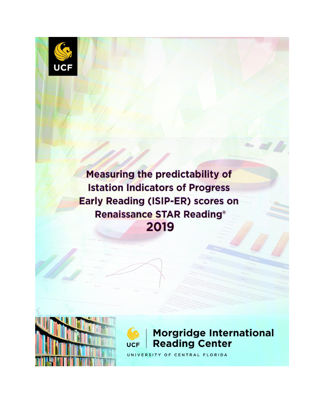

Measuring the predictability of **Istation Indicators of Progress Early Reading (ISIP-ER) scores on Renaissance STAR Reading®** 2019





# **Morgridge International Reading Center**

UNIVERSITY OF CENTRAL FLORIDA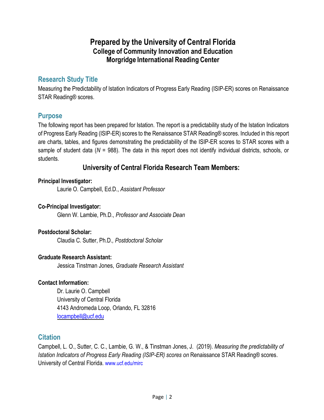## **Prepared by the University of Central Florida College of Community Innovation and Education Morgridge International Reading Center**

### **Research Study Title**

Measuring the Predictability of Istation Indicators of Progress Early Reading (ISIP-ER) scores on Renaissance STAR Reading® scores.

### **Purpose**

The following report has been prepared for Istation. The report is a predictability study of the Istation Indicators of Progress Early Reading (ISIP-ER) scores to the Renaissance STAR Reading® scores. Included in this report are charts, tables, and figures demonstrating the predictability of the ISIP-ER scores to STAR scores with a sample of student data (*N* = 988). The data in this report does not identify individual districts, schools, or students.

### **University of Central Florida Research Team Members:**

#### **Principal Investigator:**

Laurie O. Campbell, Ed.D., *Assistant Professor*

#### **Co-Principal Investigator:**

Glenn W. Lambie, Ph.D., *Professor and Associate Dean* 

#### **Postdoctoral Scholar:**

Claudia C. Sutter, Ph.D.*, Postdoctoral Scholar*

#### **Graduate Research Assistant:**

Jessica Tinstman Jones, *Graduate Research Assistant*

#### **Contact Information:**

Dr. Laurie O. Campbell University of Central Florida 4143 Andromeda Loop, Orlando, FL 32816 [locampbell@ucf.edu](mailto:locampbell@ucf.edu)

### **Citation**

Campbell, L. O., Sutter, C. C., Lambie, G. W., & Tinstman Jones, J. (2019). *Measuring the predictability of Istation Indicators of Progress Early Reading (ISIP-ER) scores on Renaissance STAR Reading® scores.* University of Central Florida. www.ucf.edu/mirc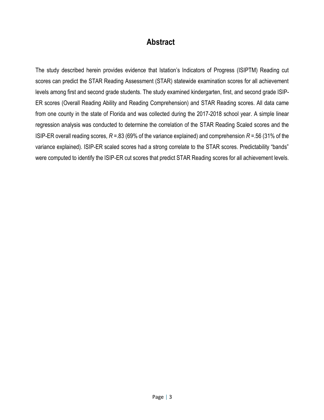## **Abstract**

The study described herein provides evidence that Istation's Indicators of Progress (ISIPTM) Reading cut scores can predict the STAR Reading Assessment (STAR) statewide examination scores for all achievement levels among first and second grade students. The study examined kindergarten, first, and second grade ISIP-ER scores (Overall Reading Ability and Reading Comprehension) and STAR Reading scores. All data came from one county in the state of Florida and was collected during the 2017-2018 school year. A simple linear regression analysis was conducted to determine the correlation of the STAR Reading Scaled scores and the ISIP-ER overall reading scores, *R* =.83 (69% of the variance explained) and comprehension *R* =.56 (31% of the variance explained). ISIP-ER scaled scores had a strong correlate to the STAR scores. Predictability "bands" were computed to identify the ISIP-ER cut scores that predict STAR Reading scores for all achievement levels.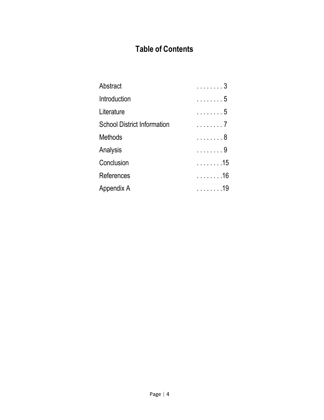# **Table of Contents**

| Abstract                           | . 3 |
|------------------------------------|-----|
| Introduction                       | . 5 |
| Literature                         | . 5 |
| <b>School District Information</b> | . 7 |
| <b>Methods</b>                     | . 8 |
| Analysis                           | . 9 |
| Conclusion                         | .15 |
| References                         | .16 |
| Appendix A                         | .19 |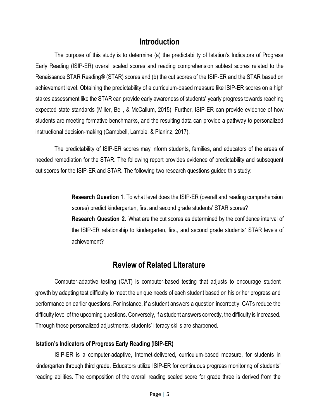### **Introduction**

The purpose of this study is to determine (a) the predictability of Istation's Indicators of Progress Early Reading (ISIP-ER) overall scaled scores and reading comprehension subtest scores related to the Renaissance STAR Reading® (STAR) scores and (b) the cut scores of the ISIP-ER and the STAR based on achievement level. Obtaining the predictability of a curriculum-based measure like ISIP-ER scores on a high stakes assessment like the STAR can provide early awareness of students' yearly progress towards reaching expected state standards (Miller, Bell, & McCallum, 2015). Further, ISIP-ER can provide evidence of how students are meeting formative benchmarks, and the resulting data can provide a pathway to personalized instructional decision-making (Campbell, Lambie, & Planinz, 2017).

The predictability of ISIP-ER scores may inform students, families, and educators of the areas of needed remediation for the STAR. The following report provides evidence of predictability and subsequent cut scores for the ISIP-ER and STAR. The following two research questions guided this study:

> **Research Question 1**. To what level does the ISIP-ER (overall and reading comprehension scores) predict kindergarten, first and second grade students' STAR scores? **Research Question 2.** What are the cut scores as determined by the confidence interval of the ISIP-ER relationship to kindergarten, first, and second grade students' STAR levels of achievement?

## **Review of Related Literature**

Computer-adaptive testing (CAT) is computer-based testing that adjusts to encourage student growth by adapting test difficulty to meet the unique needs of each student based on his or her progress and performance on earlier questions. For instance, if a student answers a question incorrectly, CATs reduce the difficulty level of the upcoming questions. Conversely, if a student answers correctly, the difficulty is increased. Through these personalized adjustments, students' literacy skills are sharpened.

#### **Istation's Indicators of Progress Early Reading (ISIP-ER)**

ISIP-ER is a computer-adaptive, Internet-delivered, curriculum-based measure, for students in kindergarten through third grade. Educators utilize ISIP-ER for continuous progress monitoring of students' reading abilities. The composition of the overall reading scaled score for grade three is derived from the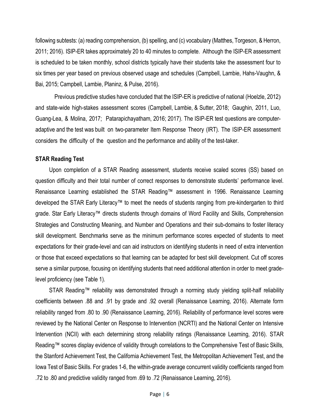following subtests: (a) reading comprehension, (b) spelling, and (c) vocabulary (Matthes, Torgeson, & Herron, 2011; 2016). ISIP-ER takes approximately 20 to 40 minutes to complete. Although the ISIP-ER assessment is scheduled to be taken monthly, school districts typically have their students take the assessment four to six times per year based on previous observed usage and schedules (Campbell, Lambie, Hahs-Vaughn, & Bai, 2015; Campbell, Lambie, Planinz, & Pulse, 2016).

Previous predictive studies have concluded that the ISIP-ER is predictive of national (Hoelzle, 2012) and state-wide high-stakes assessment scores (Campbell, Lambie, & Sutter, 2018; Gaughin, 2011, Luo, Guang-Lea, & Molina, 2017; Patarapichayatham, 2016; 2017). The ISIP-ER test questions are computeradaptive and the test was built on two-parameter Item Response Theory (IRT). The ISIP-ER assessment considers the difficulty of the question and the performance and ability of the test-taker.

#### **STAR Reading Test**

Upon completion of a STAR Reading assessment, students receive scaled scores (SS) based on question difficulty and their total number of correct responses to demonstrate students' performance level. Renaissance Learning established the STAR Reading™ assessment in 1996. Renaissance Learning developed the STAR Early Literacy™ to meet the needs of students ranging from pre-kindergarten to third grade. Star Early Literacy™ directs students through domains of Word Facility and Skills, Comprehension Strategies and Constructing Meaning, and Number and Operations and their sub-domains to foster literacy skill development. Benchmarks serve as the minimum performance scores expected of students to meet expectations for their grade-level and can aid instructors on identifying students in need of extra intervention or those that exceed expectations so that learning can be adapted for best skill development. Cut off scores serve a similar purpose, focusing on identifying students that need additional attention in order to meet gradelevel proficiency (see Table 1).

STAR Reading™ reliability was demonstrated through a norming study yielding split-half reliability coefficients between .88 and .91 by grade and .92 overall (Renaissance Learning, 2016). Alternate form reliability ranged from .80 to .90 (Renaissance Learning, 2016). Reliability of performance level scores were reviewed by the National Center on Response to Intervention (NCRTI) and the National Center on Intensive Intervention (NCII) with each determining strong reliability ratings (Renaissance Learning, 2016). STAR Reading™ scores display evidence of validity through correlations to the Comprehensive Test of Basic Skills, the Stanford Achievement Test, the California Achievement Test, the Metropolitan Achievement Test, and the Iowa Test of Basic Skills. For grades 1-6, the within-grade average concurrent validity coefficients ranged from .72 to .80 and predictive validity ranged from .69 to .72 (Renaissance Learning, 2016).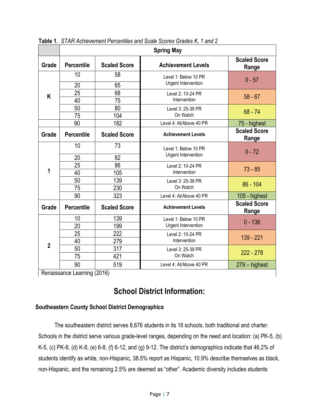|                |                   |                     | <b>Spring May</b>                           |                              |
|----------------|-------------------|---------------------|---------------------------------------------|------------------------------|
| Grade          | <b>Percentile</b> | <b>Scaled Score</b> | <b>Achievement Levels</b>                   | <b>Scaled Score</b><br>Range |
|                | 10                | 58                  | Level 1: Below 10 PR                        | $0 - 57$                     |
|                | 20                | 65                  | Urgent Intervention                         |                              |
| K              | 25                | 68                  | Level 2: 10-24 PR                           | $58 - 67$                    |
|                | 40                | 75                  | Intervention                                |                              |
|                | 50                | 80                  | Level 3: 25-39 PR                           | $68 - 74$                    |
|                | 75                | 104                 | On Watch                                    |                              |
|                | 90                | 182                 | Level 4: At/Above 40 PR                     | 75 - highest                 |
| Grade          | <b>Percentile</b> | <b>Scaled Score</b> | <b>Achievement Levels</b>                   | <b>Scaled Score</b><br>Range |
|                | 10                | 73                  | Level 1: Below 10 PR<br>Urgent Intervention | $0 - 72$                     |
|                | 20                | 82                  |                                             |                              |
|                | 25                | 86                  | Level 2: 10-24 PR                           | $73 - 85$                    |
| 1              | 40                | 105                 | Intervention                                |                              |
|                | 50                | 139                 | Level 3: 25-39 PR                           | $86 - 104$                   |
|                | 75                | 230                 | On Watch                                    |                              |
|                | 90                | 323                 | Level 4: At/Above 40 PR                     | 105 - highest                |
| Grade          | <b>Percentile</b> | <b>Scaled Score</b> | <b>Achievement Levels</b>                   | <b>Scaled Score</b><br>Range |
|                | 10                | 139                 | Level 1: Below 10 PR                        | $0 - 138$                    |
|                | 20                | 199                 | Urgent Intervention                         |                              |
|                | 25                | 222                 | Level 2: 10-24 PR                           | 139 - 221                    |
| $\overline{2}$ | 40                | 279                 | Intervention                                |                              |
|                | 50                | 317                 | Level 3: 25-39 PR                           | $222 - 278$                  |
|                | 75                | 421                 | On Watch                                    |                              |
|                | 90                | 519                 | Level 4: At/Above 40 PR                     | $279 -$ highest              |

**Table 1.** *STAR Achievement Percentiles and Scale Scores Grades K, 1 and 2*

Renaissance Learning (2016)

# **School District Information:**

#### **Southeastern County School District Demographics**

The southeastern district serves 8,676 students in its 16 schools, both traditional and charter. Schools in the district serve various grade-level ranges, depending on the need and location: (a) PK-5, (b) K-5, (c) PK-8, (d) K-8, (e) 6-8, (f) 6-12, and (g) 9-12. The district's demographics indicate that 46.2% of students identify as white, non-Hispanic, 38.5% report as Hispanic, 10.9% describe themselves as black, non-Hispanic, and the remaining 2.5% are deemed as "other". Academic diversity includes students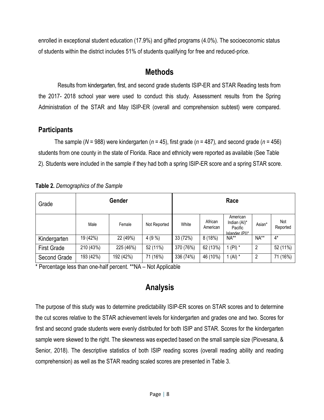enrolled in exceptional student education (17.9%) and gifted programs (4.0%). The socioeconomic status of students within the district includes 51% of students qualifying for free and reduced-price.

### **Methods**

Results from kindergarten, first, and second grade students ISIP-ER and STAR Reading tests from the 2017- 2018 school year were used to conduct this study. Assessment results from the Spring Administration of the STAR and May ISIP-ER (overall and comprehension subtest) were compared.

### **Participants**

The sample (*N* = 988) were kindergarten (*n* = 45), first grade (*n* = 487), and second grade (*n* = 456) students from one county in the state of Florida. Race and ethnicity were reported as available (See Table 2). Students were included in the sample if they had both a spring ISIP-ER score and a spring STAR score.

| Grade              |           | Race      |              |           |                     |                                                       |                |                 |
|--------------------|-----------|-----------|--------------|-----------|---------------------|-------------------------------------------------------|----------------|-----------------|
|                    | Male      | Female    | Not Reported | White     | African<br>American | American<br>Indian (AI)*<br>Pacific<br>Islander (PI)* | Asian*         | Not<br>Reported |
| Kindergarten       | 19 (42%)  | 22 (49%)  | 4(9%         | 33 (72%)  | 8(18%)              | NA**                                                  | $NA**$         | $4^*$           |
| <b>First Grade</b> | 210 (43%) | 225 (46%) | 52 (11%)     | 370 (76%) | 62 (13%)            | 1 (PI) $*$                                            | $\overline{2}$ | 52 (11%)        |
| Second Grade       | 193 (42%) | 192 (42%) | 71 (16%)     | 336 (74%) | 46 (10%)            | 1 $(AI)$ *                                            | 2              | 71 (16%)        |

**Table 2.** *Demographics of the Sample*

\* Percentage less than one-half percent. \*\*NA – Not Applicable

# **Analysis**

The purpose of this study was to determine predictability ISIP-ER scores on STAR scores and to determine the cut scores relative to the STAR achievement levels for kindergarten and grades one and two. Scores for first and second grade students were evenly distributed for both ISIP and STAR. Scores for the kindergarten sample were skewed to the right. The skewness was expected based on the small sample size (Piovesana, & Senior, 2018). The descriptive statistics of both ISIP reading scores (overall reading ability and reading comprehension) as well as the STAR reading scaled scores are presented in Table 3.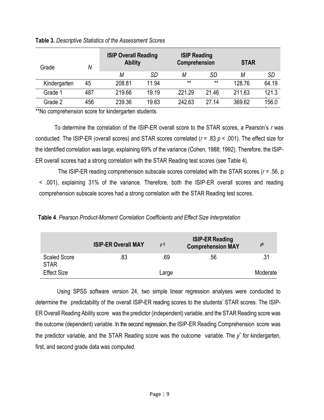| Grade        | N   | <b>ISIP Overall Reading</b><br><b>Ability</b> |       | <b>ISIP Reading</b><br>Comprehension |           | <b>STAR</b> |       |
|--------------|-----|-----------------------------------------------|-------|--------------------------------------|-----------|-------------|-------|
|              |     | М                                             | SD    | М                                    | <b>SD</b> | Μ           | SD    |
| Kindergarten | 45  | 208.81                                        | 11.94 | $***$                                | $***$     | 128.76      | 64.19 |
| Grade 1      | 487 | 219.66                                        | 19.19 | 221.29                               | 21.46     | 211.63      | 121.3 |
| Grade 2      | 456 | 239.36                                        | 19.63 | 242.63                               | 27 14     | 369.62      | 156.0 |

#### **Table 3.** *Descriptive Statistics of the Assessment Scores*

\*\*No comprehension score for kindergarten students

To determine the correlation of the ISIP-ER overall score to the STAR scores, a Pearson's *r* was conducted. The ISIP-ER (overall scores) and STAR scores correlated (*r* = .83 *p* < .001). The effect size for the identified correlation was large, explaining 69% of the variance (Cohen, 1988; 1992). Therefore, the ISIP-ER overall scores had a strong correlation with the STAR Reading test scores (see Table 4).

The ISIP-ER reading comprehension subscale scores correlated with the STAR scores (*r* = .56, p < .001), explaining 31% of the variance. Therefore, both the ISIP-ER overall scores and reading comprehension subscale scores had a strong correlation with the STAR Reading test scores.

**Table 4**. *Pearson Product-Moment Correlation Coefficients and Effect Size Interpretation*

|                                    | <b>ISIP-ER Overall MAY</b> | r <sub>2</sub> | <b>ISIP-ER Reading</b><br><b>Comprehension MAY</b> | $\mathbf{r}$ |
|------------------------------------|----------------------------|----------------|----------------------------------------------------|--------------|
| <b>Scaled Score</b><br><b>STAR</b> | .83                        | .69            | .56                                                | .31          |
| <b>Effect Size</b>                 |                            | Large          |                                                    | Moderate     |

Using SPSS software version 24, two simple linear regression analyses were conducted to determine the predictability of the overall ISIP-ER reading scores to the students' STAR scores. The ISIP-ER Overall Reading Ability score was the predictor (independent) variable, and the STAR Reading score was the outcome (dependent) variable. In the second regression, the ISIP-ER Reading Comprehension score was the predictor variable, and the STAR Reading score was the outcome variable. The *y*ˆ for kindergarten, first, and second grade data was computed.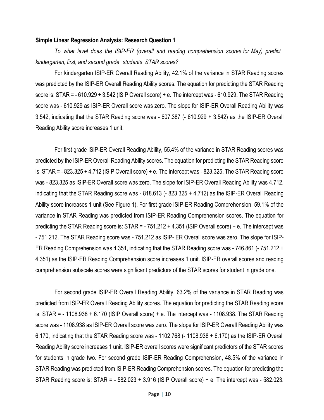#### **Simple Linear Regression Analysis: Research Question 1**

*To what level does the ISIP-ER (overall and reading comprehension scores for May) predict kindergarten, first, and second grade students STAR scores?*

For kindergarten ISIP-ER Overall Reading Ability, 42.1% of the variance in STAR Reading scores was predicted by the ISIP-ER Overall Reading Ability scores. The equation for predicting the STAR Reading score is: STAR = - 610.929 + 3.542 (ISIP Overall score) + e. The intercept was - 610.929. The STAR Reading score was - 610.929 as ISIP-ER Overall score was zero. The slope for ISIP-ER Overall Reading Ability was 3.542, indicating that the STAR Reading score was - 607.387 (- 610.929 + 3.542) as the ISIP-ER Overall Reading Ability score increases 1 unit.

For first grade ISIP-ER Overall Reading Ability, 55.4% of the variance in STAR Reading scores was predicted by the ISIP-ER Overall Reading Ability scores. The equation for predicting the STAR Reading score is: STAR = - 823.325 + 4.712 (ISIP Overall score) + e. The intercept was - 823.325. The STAR Reading score was - 823.325 as ISIP-ER Overall score was zero. The slope for ISIP-ER Overall Reading Ability was 4.712, indicating that the STAR Reading score was - 818.613 (- 823.325 + 4.712) as the ISIP-ER Overall Reading Ability score increases 1 unit (See Figure 1). For first grade ISIP-ER Reading Comprehension, 59.1% of the variance in STAR Reading was predicted from ISIP-ER Reading Comprehension scores. The equation for predicting the STAR Reading score is: STAR = - 751.212 + 4.351 (ISIP Overall score) + e. The intercept was - 751.212. The STAR Reading score was - 751.212 as ISIP- ER Overall score was zero. The slope for ISIP-ER Reading Comprehension was 4.351, indicating that the STAR Reading score was - 746.861 (- 751.212 + 4.351) as the ISIP-ER Reading Comprehension score increases 1 unit. ISIP-ER overall scores and reading comprehension subscale scores were significant predictors of the STAR scores for student in grade one.

For second grade ISIP-ER Overall Reading Ability, 63.2% of the variance in STAR Reading was predicted from ISIP-ER Overall Reading Ability scores. The equation for predicting the STAR Reading score is: STAR = - 1108.938 + 6.170 (ISIP Overall score) + e. The intercept was - 1108.938. The STAR Reading score was - 1108.938 as ISIP-ER Overall score was zero. The slope for ISIP-ER Overall Reading Ability was 6.170, indicating that the STAR Reading score was - 1102.768 (- 1108.938 + 6.170) as the ISIP-ER Overall Reading Ability score increases 1 unit. ISIP-ER overall scores were significant predictors of the STAR scores for students in grade two. For second grade ISIP-ER Reading Comprehension, 48.5% of the variance in STAR Reading was predicted from ISIP-ER Reading Comprehension scores. The equation for predicting the STAR Reading score is: STAR = - 582.023 + 3.916 (ISIP Overall score) + e. The intercept was - 582.023.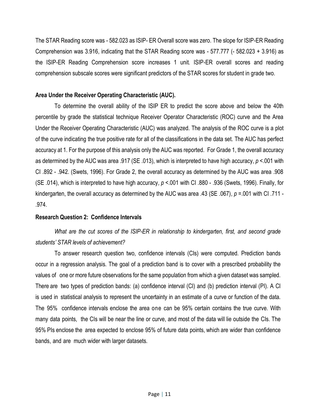The STAR Reading score was - 582.023 as ISIP- ER Overall score was zero. The slope for ISIP-ER Reading Comprehension was 3.916, indicating that the STAR Reading score was - 577.777 (- 582.023 + 3.916) as the ISIP-ER Reading Comprehension score increases 1 unit. ISIP-ER overall scores and reading comprehension subscale scores were significant predictors of the STAR scores for student in grade two.

#### **Area Under the Receiver Operating Characteristic (AUC).**

To determine the overall ability of the ISIP ER to predict the score above and below the 40th percentile by grade the statistical technique Receiver Operator Characteristic (ROC) curve and the Area Under the Receiver Operating Characteristic (AUC) was analyzed. The analysis of the ROC curve is a plot of the curve indicating the true positive rate for all of the classifications in the data set. The AUC has perfect accuracy at 1. For the purpose of this analysis only the AUC was reported. For Grade 1, the overall accuracy as determined by the AUC was area .917 (SE .013), which is interpreted to have high accuracy, *p* <.001 with CI .892 - .942. (Swets, 1996). For Grade 2, the overall accuracy as determined by the AUC was area .908 (SE .014), which is interpreted to have high accuracy, *p* <.001 with CI .880 - .936 (Swets, 1996). Finally, for kindergarten, the overall accuracy as determined by the AUC was area .43 (SE .067), *p* =.001 with CI .711 - .974.

#### **Research Question 2: Confidence Intervals**

*What are the cut scores of the ISIP-ER in relationship to kindergarten, first, and second grade students' STAR levels of achievement?* 

To answer research question two, confidence intervals (CIs) were computed. Prediction bands occur in a regression analysis. The goal of a prediction band is to cover with a prescribed probability the values of one or more future observations for the same population from which a given dataset was sampled. There are two types of prediction bands: (a) confidence interval (CI) and (b) prediction interval (PI). A CI is used in statistical analysis to represent the uncertainty in an estimate of a curve or function of the data. The 95% confidence intervals enclose the area one can be 95% certain contains the true curve. With many data points, the CIs will be near the line or curve, and most of the data will lie outside the CIs. The 95% PIs enclose the area expected to enclose 95% of future data points, which are wider than confidence bands, and are much wider with larger datasets.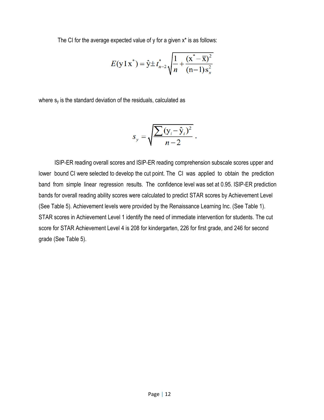The CI for the average expected value of y for a given x\* is as follows:

$$
E(\mathbf{y} \mathbf{I} \mathbf{x}^*) = \hat{\mathbf{y}} \pm t_{n-2}^* \sqrt{\frac{1}{n} + \frac{(\mathbf{x}^* - \overline{\mathbf{x}})^2}{(n-1)\mathbf{s}_x^2}}
$$

where  $s<sub>v</sub>$  is the standard deviation of the residuals, calculated as

$$
s_y = \sqrt{\frac{\sum (y_i - \hat{y}_i)^2}{n-2}}.
$$

ISIP-ER reading overall scores and ISIP-ER reading comprehension subscale scores upper and lower bound CI were selected to develop the cut point. The CI was applied to obtain the prediction band from simple linear regression results. The confidence level was set at 0.95. ISIP-ER prediction bands for overall reading ability scores were calculated to predict STAR scores by Achievement Level (See Table 5). Achievement levels were provided by the Renaissance Learning Inc. (See Table 1). STAR scores in Achievement Level 1 identify the need of immediate intervention for students. The cut score for STAR Achievement Level 4 is 208 for kindergarten, 226 for first grade, and 246 for second grade (See Table 5).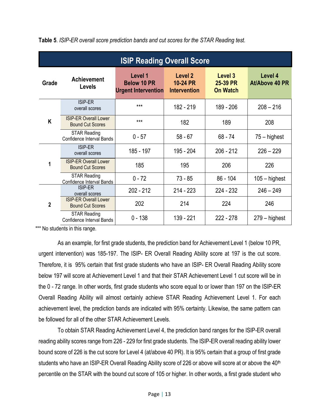|                | <b>ISIP Reading Overall Score</b>                       |                                                             |                                            |                                        |                           |  |  |  |  |  |  |  |
|----------------|---------------------------------------------------------|-------------------------------------------------------------|--------------------------------------------|----------------------------------------|---------------------------|--|--|--|--|--|--|--|
| Grade          | Achievement<br><b>Levels</b>                            | Level 1<br><b>Below 10 PR</b><br><b>Urgent Intervention</b> | Level 2<br>10-24 PR<br><b>Intervention</b> | Level 3<br>25-39 PR<br><b>On Watch</b> | Level 4<br>At/Above 40 PR |  |  |  |  |  |  |  |
|                | <b>ISIP-ER</b><br>overall scores                        | $***$                                                       | 182 - 219                                  | 189 - 206                              | $208 - 216$               |  |  |  |  |  |  |  |
| K              | <b>ISIP-ER Overall Lower</b><br><b>Bound Cut Scores</b> | $***$                                                       | 182                                        | 189                                    | 208                       |  |  |  |  |  |  |  |
|                | <b>STAR Reading</b><br>Confidence Interval Bands        | $0 - 57$                                                    | $58 - 67$                                  | $68 - 74$                              | 75 – highest              |  |  |  |  |  |  |  |
|                | ISIP-ER<br>overall scores                               | 185 - 197                                                   | 195 - 204                                  | $206 - 212$                            | $226 - 229$               |  |  |  |  |  |  |  |
| 1              | <b>ISIP-ER Overall Lower</b><br><b>Bound Cut Scores</b> | 185                                                         | 195                                        | 206                                    | 226                       |  |  |  |  |  |  |  |
|                | <b>STAR Reading</b><br>Confidence Interval Bands        | $0 - 72$                                                    | $73 - 85$                                  | $86 - 104$                             | $105 -$ highest           |  |  |  |  |  |  |  |
|                | ISIP-ER<br>overall scores                               | $202 - 212$                                                 | $214 - 223$                                | 224 - 232                              | $246 - 249$               |  |  |  |  |  |  |  |
| $\overline{2}$ | <b>ISIP-ER Overall Lower</b><br><b>Bound Cut Scores</b> | 202                                                         | 214                                        | 224                                    | 246                       |  |  |  |  |  |  |  |
|                | <b>STAR Reading</b><br>Confidence Interval Bands        | $0 - 138$                                                   | 139 - 221                                  | $222 - 278$                            | $279 -$ highest           |  |  |  |  |  |  |  |

\*\*\* No students in this range.

As an example, for first grade students, the prediction band for Achievement Level 1 (below 10 PR, urgent intervention) was 185-197. The ISIP- ER Overall Reading Ability score at 197 is the cut score. Therefore, it is 95% certain that first grade students who have an ISIP- ER Overall Reading Ability score below 197 will score at Achievement Level 1 and that their STAR Achievement Level 1 cut score will be in the 0 - 72 range. In other words, first grade students who score equal to or lower than 197 on the ISIP-ER Overall Reading Ability will almost certainly achieve STAR Reading Achievement Level 1. For each achievement level, the prediction bands are indicated with 95% certainty. Likewise, the same pattern can be followed for all of the other STAR Achievement Levels.

To obtain STAR Reading Achievement Level 4, the prediction band ranges for the ISIP-ER overall reading ability scores range from 226 - 229 for first grade students. The ISIP-ER overall reading ability lower bound score of 226 is the cut score for Level 4 (at/above 40 PR). It is 95% certain that a group of first grade students who have an ISIP-ER Overall Reading Ability score of 226 or above will score at or above the 40<sup>th</sup> percentile on the STAR with the bound cut score of 105 or higher. In other words, a first grade student who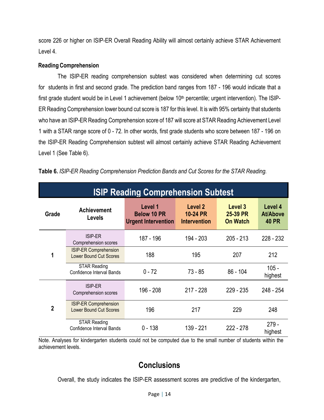score 226 or higher on ISIP-ER Overall Reading Ability will almost certainly achieve STAR Achievement Level 4.

#### **Reading Comprehension**

The ISIP-ER reading comprehension subtest was considered when determining cut scores for students in first and second grade. The prediction band ranges from 187 - 196 would indicate that a first grade student would be in Level 1 achievement (below 10<sup>th</sup> percentile; urgent intervention). The ISIP-ER Reading Comprehension lower bound cut score is 187 for this level. It is with 95% certainty that students who have an ISIP-ER Reading Comprehension score of 187 will score at STAR Reading Achievement Level 1 with a STAR range score of 0 - 72. In other words, first grade students who score between 187 - 196 on the ISIP-ER Reading Comprehension subtest will almost certainly achieve STAR Reading Achievement Level 1 (See Table 6).

|                | <b>ISIP Reading Comprehension Subtest</b>                     |                                                             |                                                   |                                        |                                            |  |  |  |  |  |  |  |
|----------------|---------------------------------------------------------------|-------------------------------------------------------------|---------------------------------------------------|----------------------------------------|--------------------------------------------|--|--|--|--|--|--|--|
| Grade          | <b>Achievement</b><br><b>Levels</b>                           | Level 1<br><b>Below 10 PR</b><br><b>Urgent Intervention</b> | Level 2<br><b>10-24 PR</b><br><b>Intervention</b> | Level 3<br>25-39 PR<br><b>On Watch</b> | Level 4<br><b>At/Above</b><br><b>40 PR</b> |  |  |  |  |  |  |  |
| 1              | <b>ISIP-ER</b><br>Comprehension scores                        | 187 - 196                                                   | 194 - 203                                         | $205 - 213$                            | 228 - 232                                  |  |  |  |  |  |  |  |
|                | <b>ISIP-ER Comprehension</b><br><b>Lower Bound Cut Scores</b> | 188                                                         | 195                                               | 207                                    | 212                                        |  |  |  |  |  |  |  |
|                | <b>STAR Reading</b><br><b>Confidence Interval Bands</b>       | $0 - 72$                                                    | $73 - 85$                                         | $86 - 104$                             | $105 -$<br>highest                         |  |  |  |  |  |  |  |
|                | <b>ISIP-ER</b><br>Comprehension scores                        | 196 - 208                                                   | $217 - 228$                                       | $229 - 235$                            | 248 - 254                                  |  |  |  |  |  |  |  |
| $\overline{2}$ | <b>ISIP-ER Comprehension</b><br><b>Lower Bound Cut Scores</b> | 196                                                         | 217                                               | 229                                    | 248                                        |  |  |  |  |  |  |  |
|                | <b>STAR Reading</b><br>Confidence Interval Bands              | $0 - 138$                                                   | 139 - 221                                         | $222 - 278$                            | $279 -$<br>highest                         |  |  |  |  |  |  |  |

**Table 6.** *ISIP-ER Reading Comprehension Prediction Bands and Cut Scores for the STAR Reading.*

Note. Analyses for kindergarten students could not be computed due to the small number of students within the achievement levels.

# **Conclusions**

Overall, the study indicates the ISIP-ER assessment scores are predictive of the kindergarten,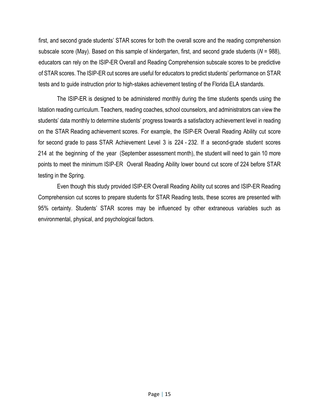first, and second grade students' STAR scores for both the overall score and the reading comprehension subscale score (May). Based on this sample of kindergarten, first, and second grade students (*N* = 988), educators can rely on the ISIP-ER Overall and Reading Comprehension subscale scores to be predictive of STAR scores. The ISIP-ER cut scores are useful for educators to predict students' performance on STAR tests and to guide instruction prior to high-stakes achievement testing of the Florida ELA standards.

The ISIP-ER is designed to be administered monthly during the time students spends using the Istation reading curriculum. Teachers, reading coaches, school counselors, and administrators can view the students' data monthly to determine students' progress towards a satisfactory achievement level in reading on the STAR Reading achievement scores. For example, the ISIP-ER Overall Reading Ability cut score for second grade to pass STAR Achievement Level 3 is 224 - 232. If a second-grade student scores 214 at the beginning of the year (September assessment month), the student will need to gain 10 more points to meet the minimum ISIP-ER Overall Reading Ability lower bound cut score of 224 before STAR testing in the Spring.

Even though this study provided ISIP-ER Overall Reading Ability cut scores and ISIP-ER Reading Comprehension cut scores to prepare students for STAR Reading tests, these scores are presented with 95% certainty. Students' STAR scores may be influenced by other extraneous variables such as environmental, physical, and psychological factors.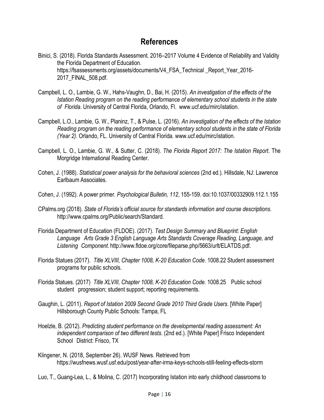## **References**

- Binici, S. (2018). Florida Standards Assessment. 2016–2017 Volume 4 Evidence of Reliability and Validity the Florida Department of Education. https://fsassessments.org/assets/documents/V4\_FSA\_Technical\_Report\_Year\_2016-2017\_FINAL\_508.pdf.
- Campbell, L. O., Lambie, G. W., Hahs-Vaughn, D., Bai, H. (2015). *An investigation of the effects of the Istation Reading program on the reading performance of elementary school students in the state of Florida*. University of Central Florida, Orlando, Fl. [www.ucf.edu/mirc/istation.](http://www.ucf.edu/mirc/istation)
- Campbell, L.O., Lambie, G. W., Planinz, T., & Pulse, L. (2016). *An investigation of the effects of the Istation Reading program on the reading performance of elementary school students in the state of Florida (Year 2)*. Orlando, FL. University of Central Florida. [www.ucf.edu/mirc/istation.](http://www.ucf.edu/mirc/istation)
- Campbell, L. O., Lambie, G. W., & Sutter, C. (2018). *The Florida Report 2017: The Istation Report*. The Morgridge International Reading Center.
- Cohen, J. (1988). *Statistical power analysis for the behavioral sciences* (2nd ed.). Hillsdale, NJ: Lawrence Earlbaum Associates.
- Cohen, J. (1992). A power primer. *Psychological Bulletin, 112*, 155-159. doi:10.1037/00332909.112.1.155
- CPalms.org (2018). *State of Florida's official source for standards information and course descriptions*. [http://www.cpalms.org/Public/search/Standard.](http://www.cpalms.org/Public/search/Standard)
- Florida Department of Education (FLDOE). (2017). *Test Design Summary and Blueprint: English Language Arts Grade 3 English Language Arts Standards Coverage Reading, Language, and Listening Component*. http://www.fldoe.org/core/fileparse.php/5663/urlt/ELATDS.pdf.
- Florida Statues (2017). *Title XLVIII, Chapter 1008, K-20 Education Code*. 1008.22 Student assessment programs for public schools.
- Florida Statues. (2017) *Title XLVIII, Chapter 1008, K-20 Education Code.* 1008.25 Public school student progression; student support; reporting requirements.
- Gaughin, L. (2011). *Report of Istation 2009 Second Grade 2010 Third Grade Users*. [White Paper] Hillsborough County Public Schools: Tampa, FL
- Hoelzle, B. (2012). *Predicting student performance on the developmental reading assessment: An independent comparison of two different tests*. (2nd ed.). [White Paper] Frisco Independent School District: Frisco, TX
- Klingener, N. (2018, September 26). WUSF News. Retrieved from https://wusfnews.wusf.usf.edu/post/year-after-irma-keys-schools-still-feeling-effects-storm
- Luo, T., Guang-Lea, L., & Molina, C. (2017) Incorporating Istation into early childhood classrooms to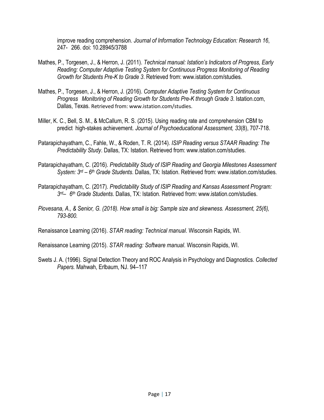improve reading comprehension. *Journal of Information Technology Education: Research 16*, 247- 266. doi: 10.28945/3788

- Mathes, P., Torgesen, J., & Herron, J. (2011). *Technical manual: Istation's Indicators of Progress, Early Reading: Computer Adaptive Testing System for Continuous Progress Monitoring of Reading Growth for Students Pre-K to Grade 3*. Retrieved from: [www.istation.com/studies.](http://www.istation.com/studies)
- Mathes, P., Torgesen, J., & Herron, J. (2016). *Computer Adaptive Testing System for Continuous Progress Monitoring of Reading Growth for Students Pre-K through Grade 3*. Istation.com, Dallas, Texas. Retrieved from: [www.istation.com/studies.](http://www.istation.com/studies)
- Miller, K. C., Bell, S. M., & McCallum, R. S. (2015). Using reading rate and comprehension CBM to predict high-stakes achievement. *Journal of Psychoeducational Assessment, 33*(8), 707-718.
- Patarapichayatham, C., Fahle, W., & Roden, T. R. (2014). *ISIP Reading versus STAAR Reading: The Predictability Study*. Dallas, TX: Istation. Retrieved from: [www.istation.com/studies.](http://www.istation.com/studies)
- Patarapichayatham, C. (2016). *Predictability Study of ISIP Reading and Georgia Milestones Assessment System: 3 rd – 6 th Grade Students*. Dallas, TX: Istation. Retrieved from: [www.istation.com/studies.](http://www.istation.com/studies)
- Patarapichayatham, C. (2017). *Predictability Study of ISIP Reading and Kansas Assessment Program: 3 rd– 6 th Grade Students*. Dallas, TX: Istation. Retrieved from: [www.istation.com/studies.](http://www.istation.com/studies)
- *Piovesana, A., & Senior, G. (2018). How small is big: Sample size and skewness. Assessment, 25(6), 793-800.*

Renaissance Learning (2016). *STAR reading: Technical manual*. Wisconsin Rapids, WI.

Renaissance Learning (2015). *STAR reading: Software manual*. Wisconsin Rapids, WI.

Swets J. A. (1996). Signal Detection Theory and ROC Analysis in Psychology and Diagnostics. *Collected Papers.* Mahwah, Erlbaum, NJ. 94–117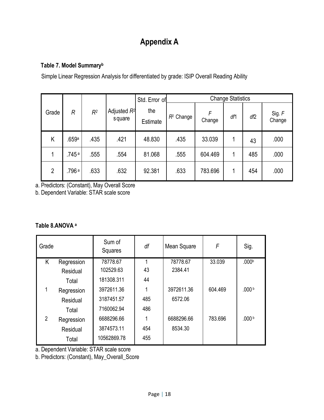# **Appendix A**

### **Table 7. Model Summary<sup>b</sup>**

Simple Linear Regression Analysis for differentiated by grade: ISIP Overall Reading Ability

|                |                   |                | Std. Error of            |                 | <b>Change Statistics</b> |             |     |     |                  |
|----------------|-------------------|----------------|--------------------------|-----------------|--------------------------|-------------|-----|-----|------------------|
| Grade          | R                 | R <sup>2</sup> | Adjusted $R^2$<br>square | the<br>Estimate | $R^2$ Change             | F<br>Change | df1 | df2 | Sig. F<br>Change |
| Κ              | .659a             | .435           | .421                     | 48.830          | .435                     | 33.039      |     | 43  | .000             |
|                | .745 <sup>a</sup> | .555           | .554                     | 81.068          | .555                     | 604.469     |     | 485 | .000             |
| $\overline{2}$ | .796a             | .633           | .632                     | 92.381          | .633                     | 783.696     |     | 454 | .000             |

a. Predictors: (Constant), May Overall Score

b. Dependent Variable: STAR scale score

#### **Table 8.ANOVA <sup>a</sup>**

| Grade          |            | Sum of<br>Squares | df  | Mean Square | F       | Sig.              |
|----------------|------------|-------------------|-----|-------------|---------|-------------------|
| K.             | Regression | 78778.67          | 1   | 78778.67    | 33.039  | .000 <sub>b</sub> |
|                | Residual   | 102529.63         | 43  | 2384.41     |         |                   |
|                | Total      | 181308.311        | 44  |             |         |                   |
|                | Regression | 3972611.36        | 1   | 3972611.36  | 604.469 | .000 <sup>b</sup> |
|                | Residual   | 3187451.57        | 485 | 6572.06     |         |                   |
|                | Total      | 7160062.94        | 486 |             |         |                   |
| $\overline{2}$ | Regression | 6688296.66        | 1   | 6688296.66  | 783.696 | .000 <sup>b</sup> |
|                | Residual   | 3874573.11        | 454 | 8534.30     |         |                   |
|                | Total      | 10562869.78       | 455 |             |         |                   |

a. Dependent Variable: STAR scale score

b. Predictors: (Constant), May\_Overall\_Score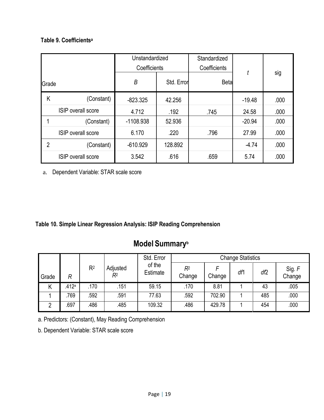#### **Table 9. Coefficients<sup>a</sup>**

| Grade                     |                           | Unstandardized<br>Coefficients |            | Standardized<br>Coefficients |          |      |
|---------------------------|---------------------------|--------------------------------|------------|------------------------------|----------|------|
|                           |                           | B                              | Std. Error | <b>Beta</b>                  |          | sig  |
| Κ                         | (Constant)                | $-823.325$                     | 42.256     |                              | $-19.48$ | .000 |
|                           | <b>ISIP</b> overall score | 4.712                          | .192       | .745                         | 24.58    | .000 |
|                           | (Constant)                | $-1108.938$                    | 52.936     |                              | $-20.94$ | .000 |
| <b>ISIP</b> overall score |                           | 6.170                          | .220       | .796                         | 27.99    | .000 |
| $\overline{2}$            | (Constant)                | $-610.929$                     | 128.892    |                              | $-4.74$  | .000 |
|                           | <b>ISIP</b> overall score | 3.542                          | .616       | .659                         | 5.74     | .000 |

a. Dependent Variable: STAR scale score

#### **Table 10. Simple Linear Regression Analysis: ISIP Reading Comprehension**

# **Model Summary<sup>b</sup>**

|       |       |                |                | Std. Error         |                          |        | <b>Change Statistics</b> |     |                  |
|-------|-------|----------------|----------------|--------------------|--------------------------|--------|--------------------------|-----|------------------|
| Grade | R     | R <sup>2</sup> | Adjusted<br>R2 | of the<br>Estimate | R <sup>2</sup><br>Change | Change | df1                      | df2 | Sig. F<br>Change |
| Κ     | .412a | .170           | .151           | 59.15              | .170                     | 8.81   |                          | 43  | .005             |
|       | 769   | .592           | .591           | 77.63              | 592                      | 702.90 |                          | 485 | .000             |
|       | .697  | .486           | .485           | 109.32             | .486                     | 429.78 |                          | 454 | .000             |

a. Predictors: (Constant), May Reading Comprehension

b. Dependent Variable: STAR scale score